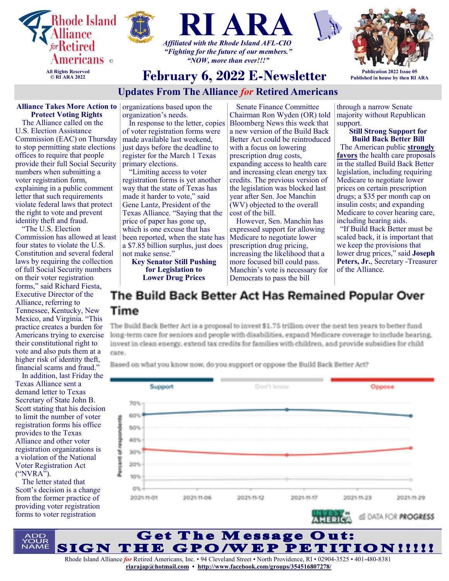





**February 6, 2022 E-Newsletter**



**Publication 2022 Issue 05 Published in house by then RI ARA**

# **Updates From The Alliance** *for* **Retired Americans**

#### **Alliance Takes More Action to Protect Voting Rights**

The Alliance called on the U.S. Election Assistance Commission (EAC) on Thursday to stop permitting state elections offices to require that people provide their full Social Security numbers when submitting a voter registration form, explaining in a public comment letter that such requirements violate federal laws that protect the right to vote and prevent identity theft and fraud.

"The U.S. Election Commission has allowed at least four states to violate the U.S. Constitution and several federal laws by requiring the collection of full Social Security numbers on their voter registration forms," said Richard Fiesta, Executive Director of the Alliance, referring to Tennessee, Kentucky, New Mexico, and Virginia. "This practice creates a burden for Americans trying to exercise their constitutional right to vote and also puts them at a higher risk of identity theft, financial scams and fraud."

In addition, last Friday the Texas Alliance sent a demand letter to Texas Secretary of State John B. Scott stating that his decision to limit the number of voter registration forms his office provides to the Texas Alliance and other voter registration organizations is a violation of the National Voter Registration Act ("NVRA").

The letter stated that Scott's decision is a change from the former practice of providing voter registration forms to voter registration

organizations based upon the organization's needs.

In response to the letter, copies of voter registration forms were made available last weekend, just days before the deadline to register for the March 1 Texas primary elections.

"Limiting access to voter registration forms is yet another way that the state of Texas has made it harder to vote," said Gene Lantz, President of the Texas Alliance. "Saying that the price of paper has gone up, which is one excuse that has been reported, when the state has a \$7.85 billion surplus, just does not make sense."

**Key Senator Still Pushing for Legislation to Lower Drug Prices** 

Senate Finance Committee Chairman Ron Wyden (OR) told Bloomberg News this week that a new version of the Build Back Better Act could be reintroduced with a focus on lowering prescription drug costs, expanding access to health care and increasing clean energy tax credits. The previous version of the legislation was blocked last year after Sen. Joe Manchin (WV) objected to the overall cost of the bill.

However, Sen. Manchin has expressed support for allowing Medicare to negotiate lower prescription drug pricing, increasing the likelihood that a more focused bill could pass. Manchin's vote is necessary for Democrats to pass the bill

through a narrow Senate majority without Republican support.

**Still Strong Support for Build Back Better Bill** The American public **[strongly](https://na01.safelinks.protection.outlook.com/?url=https%3A%2F%2Fu1584542.ct.sendgrid.net%2Fss%2Fc%2FatcYNHk4Eh2YdGnwBh-YDBBEHqmhlk6EWgMb5JYLim1bf8WM4Abk8s91L-LNO73Z8M1pVazcIBubmT8vR3BZPJAynsPtYKzbVD4D_gR2P4ItMoNi6RrsLVPsvkU7AGMEMk6livqAw9-ggyPlCby8eiVw6b2tVJ)  [favors](https://na01.safelinks.protection.outlook.com/?url=https%3A%2F%2Fu1584542.ct.sendgrid.net%2Fss%2Fc%2FatcYNHk4Eh2YdGnwBh-YDBBEHqmhlk6EWgMb5JYLim1bf8WM4Abk8s91L-LNO73Z8M1pVazcIBubmT8vR3BZPJAynsPtYKzbVD4D_gR2P4ItMoNi6RrsLVPsvkU7AGMEMk6livqAw9-ggyPlCby8eiVw6b2tVJ)** the health care proposals in the stalled Build Back Better legislation, including requiring Medicare to negotiate lower prices on certain prescription drugs; a \$35 per month cap on insulin costs; and expanding Medicare to cover hearing care, including hearing aids.

"If Build Back Better must be scaled back, it is important that we keep the provisions that lower drug prices," said **Joseph Peters, Jr.**, Secretary -Treasurer of the Alliance.

# The Build Back Better Act Has Remained Popular Over Time

The Build Back Better Act is a proposal to invest \$1.75 trillion over the next ten years to better fund long-term care for seniors and people with disabilities, expand Medicare coverage to include hearing. invest in clean energy, extend tax credits for families with children, and provide subsidies for child care.

Based on what you know now, do you support or oppose the Build Back Better Act?

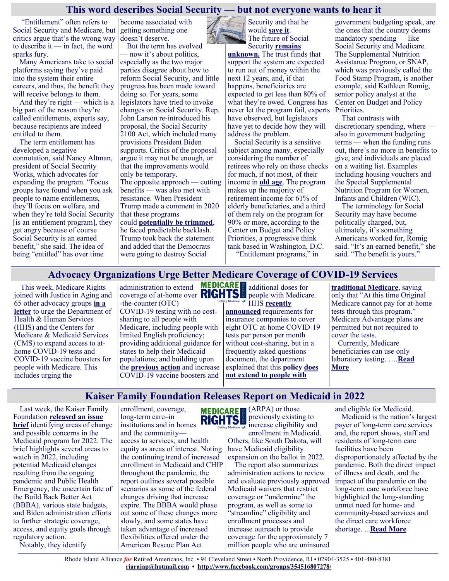#### **This word describes Social Security — but not everyone wants to hear it**

"Entitlement" often refers to Social Security and Medicare, but critics argue that's the wrong way to describe it — in fact, the word sparks fury.

Many Americans take to social platforms saying they've paid into the system their entire careers, and thus, the benefit they will receive belongs to them.

And they're right — which is a big part of the reason they're called entitlements, experts say, because recipients are indeed entitled to them.

The term entitlement has developed a negative connotation, said Nancy Altman, president of Social Security Works, which advocates for expanding the program. "Focus groups have found when you ask people to name entitlements, they'll focus on welfare, and when they're told Social Security [is an entitlement program], they get angry because of course Social Security is an earned benefit," she said. The idea of being "entitled" has over time

become associated with getting something one doesn't deserve.

But the term has evolved — now it's about politics, especially as the two major parties disagree about how to reform Social Security, and little progress has been made toward doing so. For years, some legislators have tried to invoke changes on Social Security. Rep. John Larson re-introduced his proposal, the Social Security 2100 Act, which included many provisions President Biden supports. Critics of the proposal argue it may not be enough, or that the improvements would only be temporary. The opposite approach — cutting benefits — was also met with resistance. When President Trump made a comment in 2020

that these programs could **[potentially be trimmed](https://www.marketwatch.com/story/one-thing-trump-wont-brag-about-in-his-state-of-the-union-his-plans-to-cut-social-security-medicare-and-medicaid-2020-02-04?mod=article_inline)**, he faced predictable backlash. Trump took back the statement and added that the Democrats were going to destroy Social

Security and that he would **[save it](https://www.nytimes.com/2020/01/23/us/politics/trump-social-security.html)**. The future of Social Security **[remains](https://www.marketwatch.com/story/social-security-proposals-highlight-challenges-of-benefit-expansions-2020-01-22?mod=article_inline)** 

[unknown.](https://www.marketwatch.com/story/social-security-proposals-highlight-challenges-of-benefit-expansions-2020-01-22?mod=article_inline) The trust funds that support the system are expected to run out of money within the next 12 years, and, if that happens, beneficiaries are expected to get less than 80% of what they're owed. Congress has never let the program fail, experts have observed, but legislators have yet to decide how they will address the problem.

Social Security is a sensitive subject among many, especially considering the number of retirees who rely on those checks for much, if not most, of their income in **[old age](https://www.marketwatch.com/story/social-security-is-a-lifeline-for-many-older-americans-but-how-will-it-be-funded-in-the-future-2019-09-06?mod=article_inline)**. The program makes up the majority of retirement income for 61% of elderly beneficiaries, and a third of them rely on the program for 90% or more, according to the Center on Budget and Policy Priorities, a progressive think tank based in Washington, D.C. "Entitlement programs," in

government budgeting speak, are the ones that the country deems mandatory spending — like Social Security and Medicare. The Supplemental Nutrition Assistance Program, or SNAP, which was previously called the Food Stamp Program, is another example, said Kathleen Romig, senior policy analyst at the Center on Budget and Policy Priorities.

That contrasts with discretionary spending, where also in government budgeting terms — when the funding runs out, there's no more in benefits to give, and individuals are placed on a waiting list. Examples including housing vouchers and the Special Supplemental Nutrition Program for Women, Infants and Children (WIC).

The terminology for Social Security may have become politically charged, but, ultimately, it's something Americans worked for, Romig said. "It's an earned benefit," she said. "The benefit is yours."

## **Advocacy Organizations Urge Better Medicare Coverage of COVID-19 Services**

This week, Medicare Rights joined with Justice in Aging and 65 other advocacy groups **[in a](https://www.medicarerights.org/policy-documents/advocacy-organizations-urge-better-medicare-coverage-of-covid-19-services)  [letter](https://www.medicarerights.org/policy-documents/advocacy-organizations-urge-better-medicare-coverage-of-covid-19-services)** to urge the Department of Health & Human Services (HHS) and the Centers for Medicare & Medicaid Services (CMS) to expand access to athome COVID-19 tests and COVID-19 vaccine boosters for people with Medicare. This includes urging the

administration to extend coverage of at-home over  $\frac{R}{G}$   $\frac{R}{G}$  people with Medicare. -the-counter (OTC) COVID-19 testing with no costsharing to all people with Medicare, including people with limited English proficiency; providing additional guidance for states to help their Medicaid populations; and building upon the **[previous action](https://www.medicarerights.org/medicare-watch/2021/12/09/cms-announces-new-strategies-to-encourage-people-with-medicare-to-get-a-covid-19-booster)** and increase COVID-19 vaccine boosters and

**MEDICARE** additional doses for **HHS recently** 

**[announced](https://www.hhs.gov/about/news/2022/01/10/biden-harris-administration-requires-insurance-companies-group-health-plans-to-cover-cost-at-home-covid-19-tests-increasing-access-free-tests.html)** requirements for insurance companies to cover eight OTC at-home COVID-19 tests per person per month without cost-sharing, but in a frequently asked questions document, the department explained that this **policy [does](https://www.cms.gov/how-to-get-your-at-home-OTC-COVID-19-test-for-free)  [not extend to people with](https://www.cms.gov/how-to-get-your-at-home-OTC-COVID-19-test-for-free)** 

**[traditional Medicare](https://www.cms.gov/how-to-get-your-at-home-OTC-COVID-19-test-for-free)**, saying only that "At this time Original Medicare cannot pay for at-home tests through this program." Medicare Advantage plans are permitted but not required to cover the tests. Currently, Medicare beneficiaries can use only laboratory testing. ….**[Read](https://www.medicarerights.org/medicare-watch/2022/01/27/advocacy-organizations-urge-better-medicare-coverage-of-covid-19-services)  [More](https://www.medicarerights.org/medicare-watch/2022/01/27/advocacy-organizations-urge-better-medicare-coverage-of-covid-19-services)**

## **Kaiser Family Foundation Releases Report on Medicaid in 2022**

Last week, the Kaiser Family Foundation **[released an issue](https://www.kff.org/medicaid/issue-brief/medicaid-what-to-watch-in-2022/)  [brief](https://www.kff.org/medicaid/issue-brief/medicaid-what-to-watch-in-2022/)** identifying areas of change and possible concerns in the Medicaid program for 2022. The brief highlights several areas to watch in 2022, including potential Medicaid changes resulting from the ongoing pandemic and Public Health Emergency, the uncertain fate of the Build Back Better Act (BBBA), various state budgets, and Biden administration efforts to further strategic coverage, access, and equity goals through regulatory action. Notably, they identify

enrollment, coverage, long-term care–in institutions and in homes

and the community access to services, and health equity as areas of interest. Noting the continuing trend of increased enrollment in Medicaid and CHIP throughout the pandemic, the report outlines several possible scenarios as some of the federal changes driving that increase expire. The BBBA would phase out some of these changes more slowly, and some states have taken advantage of increased flexibilities offered under the American Rescue Plan Act



(ARPA) or those previously existing to increase eligibility and

enrollment in Medicaid. Others, like South Dakota, will have Medicaid eligibility expansion on the ballot in 2022.

The report also summarizes administration actions to review and evaluate previously approved Medicaid waivers that restrict coverage or "undermine" the program, as well as some to "streamline" eligibility and enrollment processes and increase outreach to provide coverage for the approximately 7 million people who are uninsured and eligible for Medicaid. Medicaid is the nation's largest payer of long-term care services and, the report shows, staff and residents of long-term care facilities have been disproportionately affected by the pandemic. Both the direct impact of illness and death, and the impact of the pandemic on the long-term care workforce have highlighted the long-standing unmet need for home- and community-based services and the direct care workforce shortage. ...**[Read More](https://www.medicarerights.org/medicare-watch/2022/01/27/kaiser-family-foundation-releases-report-on-medicaid-in-2022)**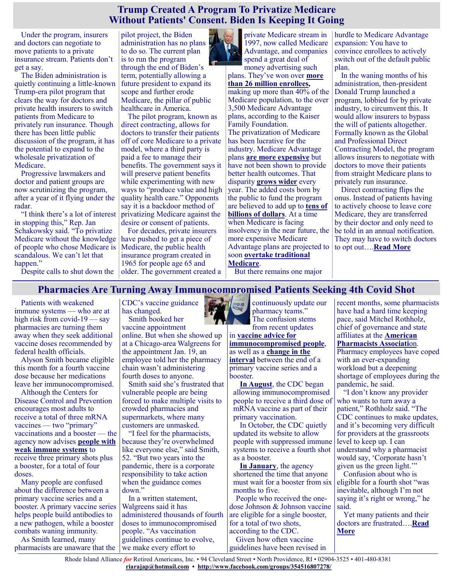#### **Trump Created A Program To Privatize Medicare Without Patients' Consent. Biden Is Keeping It Going**

Under the program, insurers and doctors can negotiate to move patients to a private insurance stream. Patients don't get a say.

The Biden administration is quietly continuing a little-known Trump-era pilot program that clears the way for doctors and private health insurers to switch patients from Medicare to privately run insurance. Though there has been little public discussion of the program, it has the potential to expand to the wholesale privatization of Medicare.

Progressive lawmakers and doctor and patient groups are now scrutinizing the program, after a year of it flying under the radar.

"I think there's a lot of interest in stopping this," Rep. Jan Schakowsky said. "To privatize Medicare without the knowledge of people who chose Medicare is scandalous. We can't let that happen."

Despite calls to shut down the

pilot project, the Biden administration has no plans to do so. The current plan is to run the program through the end of Biden's term, potentially allowing a future president to expand its scope and further erode Medicare, the pillar of public healthcare in America.

The pilot program, known as direct contracting, allows for doctors to transfer their patients off of core Medicare to a private model, where a third party is paid a fee to manage their benefits. The government says it will preserve patient benefits while experimenting with new ways to "produce value and high quality health care." Opponents say it is a backdoor method of privatizing Medicare against the desire or consent of patients.

For decades, private insurers have pushed to get a piece of Medicare, the public health insurance program created in 1965 for people age 65 and older. The government created a



plans. They've won over **[more](https://www.kff.org/medicare/issue-brief/medicare-advantage-in-2021-enrollment-update-and-key-trends/)  [than 26 million enrollees,](https://www.kff.org/medicare/issue-brief/medicare-advantage-in-2021-enrollment-update-and-key-trends/)**  making up more than 40% of the Medicare population, to the over 3,500 Medicare Advantage plans, according to the Kaiser Family Foundation. The privatization of Medicare has been lucrative for the industry. Medicare Advantage plans **[are more expensive](https://www.policymed.com/2021/07/medpac-calls-for-ma-program-changes.html)** but have not been shown to provide better health outcomes. That disparity **[grows wider](https://web.archive.org/web/20210311190050/https:/www.medpac.gov/docs/default-source/meeting-materials/medpac_context_sept_2020.pdf?sfvrsn=0)** every year. The added costs born by the public to fund the program are believed to add up to **[tens of](https://khn.org/news/article/medicare-advantage-overpayments-cost-taxpayers-billions-researcher-says/)  [billions of dollars](https://khn.org/news/article/medicare-advantage-overpayments-cost-taxpayers-billions-researcher-says/)**. At a time when Medicare is facing insolvency in the near future, the more expensive Medicare Advantage plans are projected to soon **[overtake traditional](https://www.fiercehealthcare.com/payer/medpac-majority-medicare-beneficiaries-to-be-ma-by-2023-but-coding-issues-remain-rampant)  [Medicare](https://www.fiercehealthcare.com/payer/medpac-majority-medicare-beneficiaries-to-be-ma-by-2023-but-coding-issues-remain-rampant)**.

hurdle to Medicare Advantage expansion: You have to convince enrollees to actively switch out of the default public plan.

In the waning months of his administration, then-president Donald Trump launched a program, lobbied for by private industry, to circumvent this. It would allow insurers to bypass the will of patients altogether. Formally known as the Global and Professional Direct Contracting Model, the program allows insurers to negotiate with doctors to move their patients from straight Medicare plans to privately run insurance.

Direct contracting flips the onus. Instead of patients having to actively choose to leave core Medicare, they are transferred by their doctor and only need to be told in an annual notification. They may have to switch doctors to opt out….**[Read More](https://www-buzzfeednews-com.cdn.ampproject.org/v/s/www.buzzfeednews.com/amphtml/paulmcleod/medicare-biden-trump-progressives-privatization?amp_gsa=1&_js_v=a8&usqp=mq331AQIKAGwASCAAgM%3D#amp_tf=From%20%251%24s&aoh=16434103459415&csi=0&referrer=https%3A%)**

But there remains one major

# **Pharmacies Are Turning Away Immunocompromised Patients Seeking 4th Covid Shot**

Patients with weakened immune systems — who are at high risk from covid-19 — say pharmacies are turning them away when they seek additional vaccine doses recommended by federal health officials.

Alyson Smith became eligible this month for a fourth vaccine dose because her medications leave her immunocompromised.

Although the Centers for Disease Control and Prevention encourages most adults to receive a total of three mRNA vaccines — two "primary" vaccinations and a booster — the agency now advises **[people with](https://www.cdc.gov/coronavirus/2019-ncov/vaccines/recommendations/immuno.html)  [weak immune systems](https://www.cdc.gov/coronavirus/2019-ncov/vaccines/recommendations/immuno.html)** to receive three primary shots plus a booster, for a total of four doses.

Many people are confused about the difference between a primary vaccine series and a booster. A primary vaccine series helps people build antibodies to a new pathogen, while a booster combats waning immunity.

As Smith learned, many pharmacists are unaware that the CDC's vaccine guidance has changed. Smith booked her

vaccine appointment online. But when she showed up at a Chicago-area Walgreens for the appointment Jan. 19, an employee told her the pharmacy chain wasn't administering fourth doses to anyone.

Smith said she's frustrated that vulnerable people are being forced to make multiple visits to crowded pharmacies and supermarkets, where many customers are unmasked.

"I feel for the pharmacists, because they're overwhelmed like everyone else," said Smith, 52. "But two years into the pandemic, there is a corporate responsibility to take action when the guidance comes down."

In a written statement, Walgreens said it has administered thousands of fourth doses to immunocompromised people. "As vaccination guidelines continue to evolve, we make every effort to



continuously update our pharmacy teams." The confusion stems from recent updates

in **[vaccine advice for](https://www.cdc.gov/vaccines/covid-19/clinical-considerations/covid-19-vaccines-us.html#considerations-covid19-vax-immunocopromised)  [immunocompromised people](https://www.cdc.gov/vaccines/covid-19/clinical-considerations/covid-19-vaccines-us.html#considerations-covid19-vax-immunocopromised)**, as well as a **[change in the](https://www.cdc.gov/media/releases/2022/s0104-Pfizer-Booster.html#:~:text=CDC%20Newsroom%20Releases-,CDC%20Recommends%20Pfizer%20Booster%20at%205%20Months%2C%20Additional,Dose%20for%20Certain%20Immunocompromised%20Children&text=Today%2C%20CDC%20is%20updating%)  [interval](https://www.cdc.gov/media/releases/2022/s0104-Pfizer-Booster.html#:~:text=CDC%20Newsroom%20Releases-,CDC%20Recommends%20Pfizer%20Booster%20at%205%20Months%2C%20Additional,Dose%20for%20Certain%20Immunocompromised%20Children&text=Today%2C%20CDC%20is%20updating%)** between the end of a primary vaccine series and a booster.

**[In August](https://www.cdc.gov/media/releases/2021/s0813-additional-mRNA-mrna-dose.html)**, the CDC began allowing immunocompromised people to receive a third dose of mRNA vaccine as part of their primary vaccination.

In October, the CDC quietly updated its website to allow people with suppressed immune systems to receive a fourth shot as a booster.

**[In January](https://www.cdc.gov/media/releases/2022/s0104-Pfizer-Booster.html#:~:text=CDC%20Newsroom%20Releases-,CDC%20Recommends%20Pfizer%20Booster%20at%205%20Months%2C%20Additional,Dose%20for%20Certain%20Immunocompromised%20Children&text=Today%2C%20CDC%20is%20updating%)**, the agency shortened the time that anyone must wait for a booster from six months to five.

People who received the onedose Johnson & Johnson vaccine are eligible for a single booster, for a total of two shots, according to the CDC.

Given how often vaccine guidelines have been revised in recent months, some pharmacists have had a hard time keeping pace, said Mitchel Rothholz, chief of governance and state affiliates at the **[American](https://pharmacist.com/coronavirus)  [Pharmacists Associati](https://pharmacist.com/coronavirus)**on. Pharmacy employees have coped with an ever-expanding

workload but a deepening shortage of employees during the pandemic, he said.

"I don't know any provider who wants to turn away a patient," Rothholz said. "The CDC continues to make updates, and it's becoming very difficult for providers at the grassroots level to keep up. I can understand why a pharmacist would say, 'Corporate hasn't given us the green light.'"

Confusion about who is eligible for a fourth shot "was inevitable, although I'm not saying it's right or wrong," he said.

Yet many patients and their doctors are frustrated….**[Read](https://khn.org/news/article/pharmacies-are-turning-away-immunocompromised-patients-seeking-4th-covid-shot/)  [More](https://khn.org/news/article/pharmacies-are-turning-away-immunocompromised-patients-seeking-4th-covid-shot/)**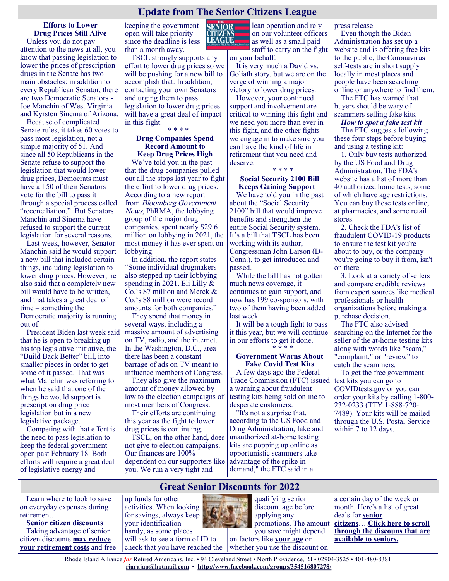## **Update from The Senior Citizens League**

**LEAGUE** 

**Efforts to Lower Drug Prices Still Alive** Unless you do not pay attention to the news at all, you know that passing legislation to lower the prices of prescription

drugs in the Senate has two main obstacles: in addition to every Republican Senator, there are two Democratic Senators - Joe Manchin of West Virginia and Kyrsten Sinema of Arizona.

Because of complicated Senate rules, it takes 60 votes to pass most legislation, not a simple majority of 51. And since all 50 Republicans in the Senate refuse to support the legislation that would lower drug prices, Democrats must have all 50 of their Senators vote for the bill to pass it through a special process called "reconciliation." But Senators Manchin and Sinema have refused to support the current legislation for several reasons.

Last week, however, Senator Manchin said he would support a new bill that included certain things, including legislation to lower drug prices. However, he also said that a completely new bill would have to be written, and that takes a great deal of time – something the Democratic majority is running out of.

President Biden last week said that he is open to breaking up his top legislative initiative, the "Build Back Better" bill, into smaller pieces in order to get some of it passed. That was what Manchin was referring to when he said that one of the things he would support is prescription drug price legislation but in a new legislative package.

Competing with that effort is the need to pass legislation to keep the federal government open past February 18. Both efforts will require a great deal of legislative energy and

keeping the government open will take priority since the deadline is less than a month away.

TSCL strongly supports any effort to lower drug prices so we will be pushing for a new bill to accomplish that. In addition, contacting your own Senators and urging them to pass legislation to lower drug prices will have a great deal of impact in this fight.

#### \* \* \* \* **Drug Companies Spend Record Amount to Keep Drug Prices High**

We've told you in the past that the drug companies pulled out all the stops last year to fight the effort to lower drug prices. According to a new report from Bloomberg Government News, PhRMA, the lobbying group of the major drug companies, spent nearly \$29.6 million on lobbying in 2021, the most money it has ever spent on lobbying.

In addition, the report states "Some individual drugmakers also stepped up their lobbying spending in 2021. Eli Lilly & Co.'s \$7 million and Merck & Co.'s \$8 million were record amounts for both companies."

They spend that money in several ways, including a massive amount of advertising on TV, radio, and the internet. In the Washington, D.C., area there has been a constant barrage of ads on TV meant to influence members of Congress.

They also give the maximum amount of money allowed by law to the election campaigns of most members of Congress.

Their efforts are continuing this year as the fight to lower drug prices is continuing.

TSCL, on the other hand, does not give to election campaigns. Our finances are 100% dependent on our supporters like you. We run a very tight and

lean operation and rely **SENIOR** on our volunteer officers as well as a small paid staff to carry on the fight on your behalf.

It is very much a David vs. Goliath story, but we are on the verge of winning a major victory to lower drug prices.

However, your continued support and involvement are critical to winning this fight and we need you more than ever in this fight, and the other fights we engage in to make sure you can have the kind of life in retirement that you need and deserve. \* \* \* \*

#### **Social Security 2100 Bill Keeps Gaining Support**

We have told you in the past about the "Social Security 2100" bill that would improve benefits and strengthen the entire Social Security system. It's a bill that TSCL has been working with its author, Congressman John Larson (D-Conn.), to get introduced and passed.

While the bill has not gotten much news coverage, it continues to gain support, and now has 199 co-sponsors, with two of them having been added last week.

It will be a tough fight to pass it this year, but we will continue in our efforts to get it done. **\* \* \* \***

#### **Government Warns About Fake Covid Test Kits**

A few days ago the Federal Trade Commission (FTC) issued a warning about fraudulent testing kits being sold online to desperate customers.

"It's not a surprise that, according to the US Food and Drug Administration, fake and unauthorized at-home testing kits are popping up online as opportunistic scammers take advantage of the spike in demand," the FTC said in a

#### press release.

Even though the Biden Administration has set up a website and is offering free kits to the public, the Coronavirus self-tests are in short supply locally in most places and people have been searching online or anywhere to find them.

The FTC has warned that buyers should be wary of scammers selling fake kits.

#### *How to spot a fake test kit*

The FTC suggests following these four steps before buying and using a testing kit:

1. Only buy tests authorized by the US Food and Drug Administration. The FDA's website has a list of more than 40 authorized home tests, some of which have age restrictions. You can buy these tests online, at pharmacies, and some retail stores.

2. Check the FDA's list of fraudulent COVID-19 products to ensure the test kit you're about to buy, or the company you're going to buy it from, isn't on there.

3. Look at a variety of sellers and compare credible reviews from expert sources like medical professionals or health organizations before making a purchase decision.

The FTC also advised searching on the Internet for the seller of the at-home testing kits along with words like "scam," "complaint," or "review" to catch the scammers.

To get the free government test kits you can go to COVIDtests.gov or you can order your kits by calling 1-800- 232-0233 (TTY 1-888-720- 7489). Your kits will be mailed through the U.S. Postal Service within 7 to 12 days.

Learn where to look to save on everyday expenses during retirement.

**Senior citizen discounts** Taking advantage of senior citizen discounts **may [reduce](https://money.usnews.com/money/retirement/aging/slideshows/expenses-you-can-eliminate-in-retirement)  [your retirement costs](https://money.usnews.com/money/retirement/aging/slideshows/expenses-you-can-eliminate-in-retirement)** and free up funds for other activities. When looking for savings, always keep your identification handy, as some places will ask to see a form of ID to check that you have reached the



**Great Senior Discounts for 2022**

qualifying senior discount age before applying any promotions. The amount you save might depend

on factors like **[your age](https://money.usnews.com/money/retirement/aging/articles/the-ideal-retirement-age-and-why-you-wont-retire-by-then)** or whether you use the discount on a certain day of the week or month. Here's a list of great deals for **[senior](https://money.usnews.com/money/retirement/aging/articles/when-do-you-become-a-senior-citizen)  [citizens](https://money.usnews.com/money/retirement/aging/articles/when-do-you-become-a-senior-citizen)**….**[Click here to scroll](https://money.usnews.com/money/retirement/slideshows/10-great-senior-discounts)  [through the discouns that are](https://money.usnews.com/money/retirement/slideshows/10-great-senior-discounts)  [available to seniors.](https://money.usnews.com/money/retirement/slideshows/10-great-senior-discounts)**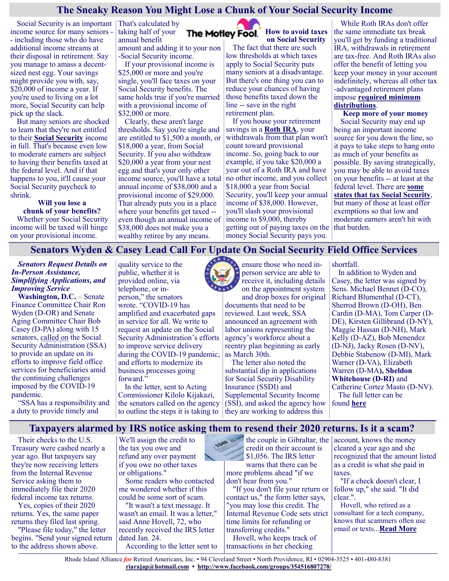#### **The Sneaky Reason You Might Lose a Chunk of Your Social Security Income**

Social Security is an important That's calculated by income source for many seniors - - including those who do have additional income streams at their disposal in retirement. Say you manage to amass a decentsized nest egg. Your savings might provide you with, say, \$20,000 of income a year. If you're used to living on a lot more, Social Security can help pick up the slack.

But many seniors are shocked to learn that they're not entitled to their **[Social Security](https://www.fool.com/retirement/social-security/?utm_source=msnrss&utm_medium=feed&utm_campaign=article&referring_guid=a67d53ae-990a-48b4-8fc4-8826393894f2)** income in full. That's because even low to moderate earners are subject to having their benefits taxed at the federal level. And if that happens to you, it'll cause your Social Security paycheck to shrink.

> **Will you lose a chunk of your benefits?**

Whether your Social Security income will be taxed will hinge on your provisional income.

taking half of your The Motley Fool. annual benefit amount and adding it to your non -Social Security income.

If your provisional income is \$25,000 or more and you're single, you'll face taxes on your Social Security benefits. The same holds true if you're married with a provisional income of \$32,000 or more.

Clearly, these aren't large thresholds. Say you're single and are entitled to \$1,500 a month, or \$18,000 a year, from Social Security. If you also withdraw \$20,000 a year from your nest egg and that's your only other income source, you'll have a total annual income of \$38,000 and a provisional income of \$29,000. That already puts you in a place where your benefits get taxed - even though an annual income of \$38,000 does not make you a wealthy retiree by any means.

**How to avoid taxes on Social Security**

The fact that there are such low thresholds at which taxes apply to Social Security puts many seniors at a disadvantage. But there's one thing you can to reduce your chances of having those benefits taxed down the line -- save in the right retirement plan.

If you house your retirement savings in a **[Roth IRA](https://www.fool.com/retirement/2022/01/16/the-1-retirement-benefit-you-can-only-get-with-a-r/?utm_source=msnrss&utm_medium=feed&utm_campaign=article&referring_guid=a67d53ae-990a-48b4-8fc4-8826393894f2)**, your withdrawals from that plan won't count toward provisional income. So, going back to our example, if you take \$20,000 a year out of a Roth IRA and have no other income, and you collect \$18,000 a year from Social Security, you'll keep your annual income of \$38,000. However, you'll slash your provisional income to \$9,000, thereby getting out of paying taxes on the money Social Security pays you.

While Roth IRAs don't offer the same immediate tax break you'll get by funding a traditional IRA, withdrawals in retirement are tax-free. And Roth IRAs also offer the benefit of letting you keep your money in your account indefinitely, whereas all other tax -advantaged retirement plans impose **[required minimum](https://www.fool.com/retirement/plans/ira/required-minimum-distributions/?utm_source=msnrss&utm_medium=feed&utm_campaign=article&referring_guid=a67d53ae-990a-48b4-8fc4-8826393894f2)  [distributions](https://www.fool.com/retirement/plans/ira/required-minimum-distributions/?utm_source=msnrss&utm_medium=feed&utm_campaign=article&referring_guid=a67d53ae-990a-48b4-8fc4-8826393894f2)**.

**Keep more of your money** Social Security may end up being an important income source for you down the line, so it pays to take steps to hang onto as much of your benefits as possible. By saving strategically, you may be able to avoid taxes on your benefits -- at least at the federal level. There are **[some](https://www.fool.com/investing/2022/01/08/these-13-states-could-take-a-bite-out-of-your-soci/?utm_source=msnrss&utm_medium=feed&utm_campaign=article&referring_guid=a67d53ae-990a-48b4-8fc4-8826393894f2)  [states that tax Social Security](https://www.fool.com/investing/2022/01/08/these-13-states-could-take-a-bite-out-of-your-soci/?utm_source=msnrss&utm_medium=feed&utm_campaign=article&referring_guid=a67d53ae-990a-48b4-8fc4-8826393894f2)**, but many of those at least offer exemptions so that low and moderate earners aren't hit with that burden.

## **Senators Wyden & Casey Lead Call For Update On Social Security Field Office Services**

*Senators Request Details on In-Person Assistance, Simplifying Applications, and Improving Service*

**Washington, D.C.** – Senate Finance Committee Chair Ron Wyden (D-OR) and Senate Aging Committee Chair Bob Casey (D-PA) along with 15 senators, [called on](https://www.finance.senate.gov/imo/media/doc/012522%20Letter%20to%20SSA%20on%20Service%20Delivery.pdf) the Social Security Administration (SSA) to provide an update on its efforts to improve field office services for beneficiaries amid the continuing challenges imposed by the COVID-19 pandemic.

"SSA has a responsibility and a duty to provide timely and

quality service to the public, whether it is provided online, via telephone, or inperson," the senators wrote. "COVID-19 has amplified and exacerbated gaps in service for all. We write to request an update on the Social Security Administration's efforts to improve service delivery during the COVID-19 pandemic, and efforts to modernize its business processes going forward."

In the letter, sent to Acting Commissioner Kilolo Kijakazi, the senators called on the agency to outline the steps it is taking to

ensure those who need inperson service are able to receive it, including details on the appointment system and drop boxes for original

documents that need to be reviewed. Last week, SSA announced an agreement with labor unions representing the agency's workforce about a reentry plan beginning as early as March 30th.

The letter also noted the substantial dip in applications for Social Security Disability Insurance (SSDI) and Supplemental Security Income (SSI), and asked the agency how they are working to address this

shortfall.

In addition to Wyden and Casey, the letter was signed by Sens. Michael Bennet (D-CO), Richard Blumenthal (D-CT), Sherrod Brown (D-OH), Ben Cardin (D-MA), Tom Carper (D-DE), Kirsten Gillibrand (D-NY), Maggie Hassan (D-NH), Mark Kelly (D-AZ), Bob Menendez (D-NJ), Jacky Rosen (D-NV), Debbie Stabenow (D-MI), Mark Warner (D-VA), Elizabeth Warren (D-MA**), Sheldon Whitehouse (D-RI)** and Catherine Cortez Masto (D-NV). The full letter can be

found **[here](https://www.finance.senate.gov/imo/media/doc/012522%20Letter%20to%20SSA%20on%20Service%20Delivery.pdf)**

## **Taxpayers alarmed by IRS notice asking them to resend their 2020 returns. Is it a scam?**

Their checks to the U.S. Treasury were cashed nearly a year ago. But taxpayers say they're now receiving letters from the Internal Revenue Service asking them to immediately file their 2020 federal income tax returns.

Yes, copies of their 2020 returns. Yes, the same paper returns they filed last spring.

"Please file today," the letter begins. "Send your signed return to the address shown above.

We'll assign the credit to the tax you owe and refund any over payment if you owe no other taxes or obligations."

Some readers who contacted me wondered whether if this could be some sort of scam.

"It wasn't a text message. It wasn't an email. It was a letter," said Anne Hovell, 72, who recently received the IRS letter dated Jan. 24. According to the letter sent to

the couple in Gibraltar, the credit on their account is \$1,056. The IRS letter warns that there can be more problems ahead "if we don't hear from you."

"If you don't file your return or contact us," the form letter says, "you may lose this credit. The Internal Revenue Code sets strict time limits for refunding or transferring credits."

Hovell, who keeps track of transactions in her checking

account, knows the money cleared a year ago and she recognized that the amount listed as a credit is what she paid in taxes.

"If a check doesn't clear, I follow up," she said. "It did clear.".

Hovell, who retired as a consultant for a tech company, knows that scammers often use email or texts...**[Read More](https://www.msn.com/en-us/money/personalfinance/taxpayers-alarmed-by-irs-notice-asking-them-to-resend-their-2020-returns-is-it-a-scam/ar-AATfYlO?ocid=SK2DDHP)**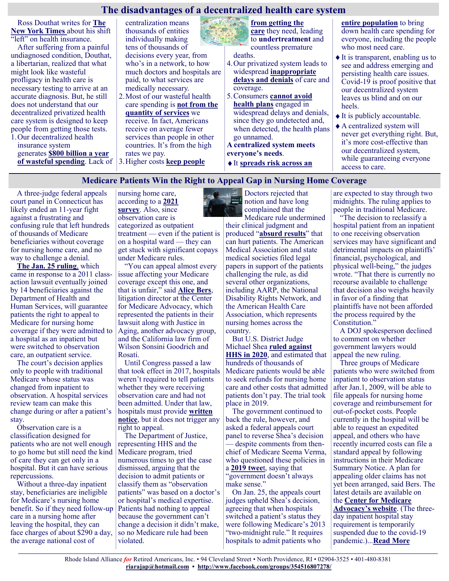#### **The disadvantages of a decentralized health care system**

Ross Douthat writes for **[The](https://www.nytimes.com/2022/01/19/opinion/lyme-disease-health-care.html)  [New York Times](https://www.nytimes.com/2022/01/19/opinion/lyme-disease-health-care.html)** about his shift "left" on health insurance.

After suffering from a painful undiagnosed condition, Douthat, a libertarian, realized that what might look like wasteful profligacy in health care is necessary testing to arrive at an accurate diagnosis. But, he still does not understand that our decentralized privatized health care system is designed to keep people from getting those tests. 1.Our decentralized health

insurance system generates **[\\$800 billion a year](https://www.reuters.com/article/us-usa-healthcare-waste/healthcare-system-wastes-up-to-800-billion-a-year-idUSTRE59P0L320091026)  [of wasteful spending](https://www.reuters.com/article/us-usa-healthcare-waste/healthcare-system-wastes-up-to-800-billion-a-year-idUSTRE59P0L320091026)**. Lack of 3.Higher costs **[keep people](https://justcareusa.org/the-deadly-consequences-of-out-of-pocket-drug-costs/)** 

centralization means thousands of entities individually making tens of thousands of decisions every year, from who's in a network, to how much doctors and hospitals are paid, to what services are medically necessary.

- 2.Most of our wasteful health care spending is **[not from the](https://www.vox.com/policy-and-politics/2018/3/28/17173828/voxcare-ashish-jha-health-care-prices-us-europe)  [quantity of services](https://www.vox.com/policy-and-politics/2018/3/28/17173828/voxcare-ashish-jha-health-care-prices-us-europe)** we receive. In fact, Americans receive on average fewer services than people in other countries. It's from the high rates we pay.
- **[from getting the](https://justcareusa.org/the-deadly-consequences-of-out-of-pocket-drug-costs/)**

**[care](https://justcareusa.org/the-deadly-consequences-of-out-of-pocket-drug-costs/)** they need, leading to **[undertreatment](https://www.cbsnews.com/news/health-care-costs-rising-americans/)** and countless premature

deaths.

- 4.Our privatized system leads to widespread **[inappropriate](https://oig.hhs.gov/oei/reports/oei-09-16-00410.pdf)  [delays and denials](https://oig.hhs.gov/oei/reports/oei-09-16-00410.pdf)** of care and coverage.
- 5.Consumers **[cannot avoid](https://justcareusa.org/three-reasons-why-you-cant-choose-a-health-plan-thats-right-for-you/)  [health plans](https://justcareusa.org/three-reasons-why-you-cant-choose-a-health-plan-thats-right-for-you/)** engaged in widespread delays and denials, since they go undetected and, when detected, the health plans go unnamed.

**A centralized system meets everyone's needs**.

It **[spreads risk across an](https://www.healthaffairs.org/do/10.1377/forefront.20120215.016980/full/)** 

**[entire population](https://www.healthaffairs.org/do/10.1377/forefront.20120215.016980/full/)** to bring down health care spending for everyone, including the people who most need care.

- $\blacklozenge$  It is transparent, enabling us to see and address emerging and persisting health care issues. Covid-19 is proof positive that our decentralized system leaves us blind and on our heels.
- $\triangle$  It is publicly accountable.
- A centralized system will never get everything right. But, it's more cost-effective than our decentralized system, while guaranteeing everyone access to care.

#### **Medicare Patients Win the Right to Appeal Gap in Nursing Home Coverage**

A three-judge federal appeals court panel in Connecticut has likely ended an 11-year fight against a frustrating and confusing rule that left hundreds of thousands of Medicare beneficiaries without coverage for nursing home care, and no way to challenge a denial.

**[The Jan. 25 ruling](https://medicareadvocacy.org/wp-content/uploads/2022/01/Barrows-Opinion-1-25-2022.pdf)**, which came in response to a 2011 classaction lawsuit eventually joined by 14 beneficiaries against the Department of Health and Human Services, will guarantee patients the right to appeal to Medicare for nursing home coverage if they were admitted to a hospital as an inpatient but were switched to observation care, an outpatient service.

The court's decision applies only to people with traditional Medicare whose status was changed from inpatient to observation. A hospital services review team can make this change during or after a patient's stay.

Observation care is a classification designed for patients who are not well enough to go home but still need the kind of care they can get only in a hospital. But it can have serious repercussions.

Without a three-day inpatient stay, beneficiaries are ineligible for Medicare's nursing home benefit. So if they need follow-up care in a nursing home after leaving the hospital, they can face charges of about \$290 a day, the average national cost of

nursing home care, according to a **[2021](https://www.genworth.com/aging-and-you/finances/cost-of-care.html)  [survey](https://www.genworth.com/aging-and-you/finances/cost-of-care.html)**. Also, since observation care is categorized as outpatient treatment — even if the patient is on a hospital ward — they can get stuck with significant copays under Medicare rules.

"You can appeal almost every issue affecting your Medicare coverage except this one, and that is unfair," said **[Alice Bers](https://medicareadvocacy.org/alice-bers-jd-litigation-director/)**, litigation director at the Center for Medicare Advocacy, which represented the patients in their lawsuit along with Justice in Aging, another advocacy group, and the California law firm of Wilson Sonsini Goodrich and Rosati.

Until Congress passed a law that took effect in 2017, hospitals weren't required to tell patients whether they were receiving observation care and had not been admitted. Under that law, hospitals must provide **[written](https://khn.org/wp-content/uploads/sites/2/2017/03/medicare-obs-notice-030817.pdf)  [notice](https://khn.org/wp-content/uploads/sites/2/2017/03/medicare-obs-notice-030817.pdf)**, but it does not trigger any right to appeal.

The Department of Justice, representing HHS and the Medicare program, tried numerous times to get the case dismissed, arguing that the decision to admit patients or classify them as "observation patients" was based on a doctor's or hospital's medical expertise. Patients had nothing to appeal because the government can't change a decision it didn't make, so no Medicare rule had been violated.



Doctors rejected that notion and have long complained that the Medicare rule undermined

their clinical judgment and produced "**[absurd results](https://www.ama-assn.org/practice-management/medicare-medicaid/how-unthinking-application-two-midnight-rule-can-hurt)**" that can hurt patients. The American Medical Association and state medical societies filed legal papers in support of the patients challenging the rule, as did several other organizations, including AARP, the National Disability Rights Network, and the American Health Care Association, which represents nursing homes across the country.

But U.S. District Judge Michael Shea **[ruled against](https://khn.org/news/federal-judge-rules-medicare-patients-can-challenge-observation-care-status/)  [HHS in 2020](https://khn.org/news/federal-judge-rules-medicare-patients-can-challenge-observation-care-status/)**, and estimated that hundreds of thousands of Medicare patients would be able to seek refunds for nursing home care and other costs that admitted patients don't pay. The trial took place in 2019.

The government continued to back the rule, however, and asked a federal appeals court panel to reverse Shea's decision despite comments from thenchief of Medicare Seema Verma, who questioned these policies in a **[2019 twee](https://twitter.com/SeemaCMS/status/1158029830056828928?ref_src=twsrc%5Etfw)**t, saying that "government doesn't always make sense."

On Jan. 25, the appeals court judges upheld Shea's decision, agreeing that when hospitals switched a patient's status they were following Medicare's 2013 "two-midnight rule." It requires hospitals to admit patients who

are expected to stay through two midnights. The ruling applies to people in traditional Medicare.

"The decision to reclassify a hospital patient from an inpatient to one receiving observation services may have significant and detrimental impacts on plaintiffs' financial, psychological, and physical well-being," the judges wrote. "That there is currently no recourse available to challenge that decision also weighs heavily in favor of a finding that plaintiffs have not been afforded the process required by the Constitution."

A DOJ spokesperson declined to comment on whether government lawyers would appeal the new ruling.

Three groups of Medicare patients who were switched from inpatient to observation status after Jan.1, 2009, will be able to file appeals for nursing home coverage and reimbursement for out-of-pocket costs. People currently in the hospital will be able to request an expedited appeal, and others who have recently incurred costs can file a standard appeal by following instructions in their Medicare Summary Notice. A plan for appealing older claims has not yet been arranged, said Bers. The latest details are available on the **[Center for Medicare](https://medicareadvocacy.org/frequently-asked-questions-about-the-observation-status-court-decision/)** 

**[Advocacy's website](https://medicareadvocacy.org/frequently-asked-questions-about-the-observation-status-court-decision/)**. (The threeday inpatient hospital stay requirement is temporarily suspended due to the covid-19 pandemic.)...**[Read More](https://khn-org.cdn.ampproject.org/v/s/khn.org/news/article/observation-care-medicare-patients-win-right-to-appeal-gap-in-nursing-home-coverage/amp/?amp_gsa=1&_js_v=a8&usqp=mq331AQIKAGwASCAAgM%3D#amp_tf=From%20%251%24s&aoh=16434041587866&csi=1&referrer=)**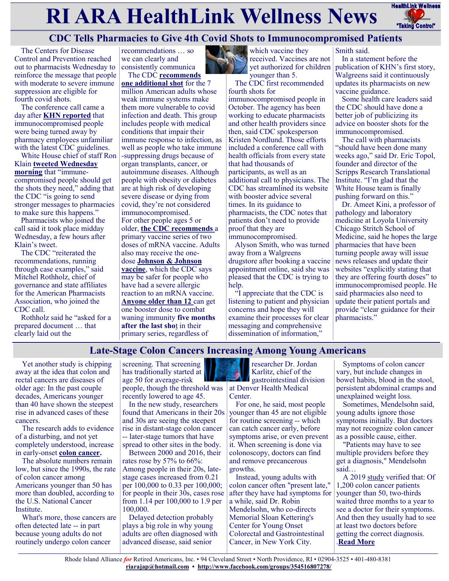# **RI ARA HealthLink Wellness News** Fractific Link Wellness



# **CDC Tells Pharmacies to Give 4th Covid Shots to Immunocompromised Patients**

The Centers for Disease Control and Prevention reached out to pharmacists Wednesday to reinforce the message that people with moderate to severe immune suppression are eligible for fourth covid shots.

The conference call came a day after **[KHN reported](https://khn.org/news/article/pharmacies-are-turning-away-immunocompromised-patients-seeking-4th-covid-shot/)** that immunocompromised people were being turned away by pharmacy employees unfamiliar with the latest CDC guidelines.

White House chief of staff Ron Klain **[tweeted Wednesday](https://twitter.com/WHCOS/status/1486320711782342665)  [morning](https://twitter.com/WHCOS/status/1486320711782342665)** that "immunecompromised people should get the shots they need," adding that the CDC "is going to send stronger messages to pharmacies to make sure this happens."

Pharmacists who joined the call said it took place midday Wednesday, a few hours after Klain's tweet.

The CDC "reiterated the recommendations, running through case examples," said Mitchel Rothholz, chief of governance and state affiliates for the American Pharmacists Association, who joined the CDC call.

Rothholz said he "asked for a prepared document … that clearly laid out the

recommendations … so we can clearly and consistently communica The CDC **[recommends](https://www.cdc.gov/coronavirus/2019-ncov/vaccines/recommendations/immuno.html)** 

**[one additional shot](https://www.cdc.gov/coronavirus/2019-ncov/vaccines/recommendations/immuno.html)** for the 7 million American adults whose weak immune systems make them more vulnerable to covid infection and death. This group includes people with medical conditions that impair their immune response to infection, as well as people who take immune -suppressing drugs because of organ transplants, cancer, or autoimmune diseases. Although people with obesity or diabetes are at high risk of developing severe disease or dying from covid, they're not considered immunocompromised. For other people ages 5 or older, **[the CDC recommends](https://www.cdc.gov/coronavirus/2019-ncov/vaccines/booster-shot.html?s_cid=11705:can%20i%20get%20covid%20vaccine%20booster:sem.ga:p:RG:GM:gen:PTN:FY22)** a primary vaccine series of two doses of mRNA vaccine. Adults also may receive the onedose **[Johnson & Johnson](https://www.cdc.gov/coronavirus/2019-ncov/vaccines/different-vaccines/janssen.html)  [vaccine](https://www.cdc.gov/coronavirus/2019-ncov/vaccines/different-vaccines/janssen.html)**, which the CDC says may be safer for people who have had a severe allergic reaction to an mRNA vaccine. **[Anyone older than 12](https://www.cdc.gov/coronavirus/2019-ncov/vaccines/booster-shot.html?s_cid=11705:who%20can%20get%20covid%20booster:sem.ga:p:RG:GM:gen:PTN:FY22)** can get one booster dose to combat waning immunity **[five months](https://www.cdc.gov/media/releases/2022/s0104-Pfizer-Booster.html#:~:text=CDC%20Newsroom%20Releases-,CDC%20Recommends%20Pfizer%20Booster%20at%205%20Months%2C%20Additional,Dose%20for%20Certain%20Immunocompromised%20Children&text=Today%2C%20CDC%20is%20updating%)  [after the last sho](https://www.cdc.gov/media/releases/2022/s0104-Pfizer-Booster.html#:~:text=CDC%20Newsroom%20Releases-,CDC%20Recommends%20Pfizer%20Booster%20at%205%20Months%2C%20Additional,Dose%20for%20Certain%20Immunocompromised%20Children&text=Today%2C%20CDC%20is%20updating%)**t in their primary series, regardless of



which vaccine they received. Vaccines are not yet authorized for children younger than 5.

The CDC first recommended fourth shots for

immunocompromised people in October. The agency has been working to educate pharmacists and other health providers since then, said CDC spokesperson Kristen Nordlund. Those efforts included a conference call with health officials from every state that had thousands of participants, as well as an additional call to physicians. The CDC has streamlined its website with booster advice several times. In its guidance to pharmacists, the CDC notes that patients don't need to provide proof that they are immunocompromised.

Alyson Smith, who was turned away from a Walgreens drugstore after booking a vaccine appointment online, said she was pleased that the CDC is trying to help.

"I appreciate that the CDC is listening to patient and physician concerns and hope they will examine their processes for clear messaging and comprehensive dissemination of information,"

Smith said.

In a statement before the publication of KHN's first story, Walgreens said it continuously updates its pharmacists on new vaccine guidance.

Some health care leaders said the CDC should have done a better job of publicizing its advice on booster shots for the immunocompromised.

The call with pharmacists "should have been done many weeks ago," said Dr. Eric Topol, founder and director of the Scripps Research Translational Institute. "I'm glad that the White House team is finally pushing forward on this."

Dr. Ameet Kini, a professor of pathology and laboratory medicine at Loyola University Chicago Stritch School of Medicine, said he hopes the large pharmacies that have been turning people away will issue news releases and update their websites "explicitly stating that they are offering fourth doses" to immunocompromised people. He said pharmacies also need to update their patient portals and provide "clear guidance for their pharmacists."

# **Late-Stage Colon Cancers Increasing Among Young Americans**

Yet another study is chipping away at the idea that colon and rectal cancers are diseases of older age: In the past couple decades, Americans younger than 40 have shown the steepest rise in advanced cases of these cancers.

The research adds to evidence of a disturbing, and not yet completely understood, increase in early-onset **[colon cancer.](https://www.cancer.org/cancer/colon-rectal-cancer.html)**

The absolute numbers remain low, but since the 1990s, the rate of colon cancer among Americans younger than 50 has more than doubled, according to the U.S. National Cancer Institute.

What's more, those cancers are often detected late -- in part because young adults do not routinely undergo colon cancer

screening. That screening has traditionally started at age 50 for average-risk people, though the threshold was recently lowered to age 45.

In the new study, researchers found that Americans in their 20s and 30s are seeing the steepest rise in distant-stage colon cancer -- later-stage tumors that have spread to other sites in the body.

Between 2000 and 2016, their rates rose by 57% to 66%: Among people in their 20s, latestage cases increased from 0.21 per 100,000 to 0.33 per 100,000; for people in their 30s, cases rose from 1.14 per 100,000 to 1.9 per 100,000.

Delayed detection probably plays a big role in why young adults are often diagnosed with advanced disease, said senior

researcher Dr. Jordan Karlitz, chief of the gastrointestinal division at Denver Health Medical Center.

For one, he said, most people younger than 45 are not eligible for routine screening -- which can catch cancer early, before symptoms arise, or even prevent it. When screening is done via colonoscopy, doctors can find and remove precancerous growths.

Instead, young adults with colon cancer often "present late," after they have had symptoms for a while, said Dr. Robin Mendelsohn, who co-directs Memorial Sloan Kettering's Center for Young Onset Colorectal and Gastrointestinal Cancer, in New York City.

Symptoms of colon cancer vary, but include changes in bowel habits, blood in the stool, persistent abdominal cramps and unexplained weight loss.

Sometimes, Mendelsohn said, young adults ignore those symptoms initially. But doctors may not recognize colon cancer as a possible cause, either.

"Patients may have to see multiple providers before they get a diagnosis," Mendelsohn said…

A 2019 [study](https://medicalxpress.com/news/2019-02-survey-young-onset-colorectal-cancer-patients.html) verified that: Of 1,200 colon cancer patients younger than 50, two-thirds waited three months to a year to see a doctor for their symptoms. And then they usually had to see at least two doctors before getting the correct diagnosis. .**[Read More](https://consumer.healthday.com/colon-cancer-symptoms-2656482455.html)**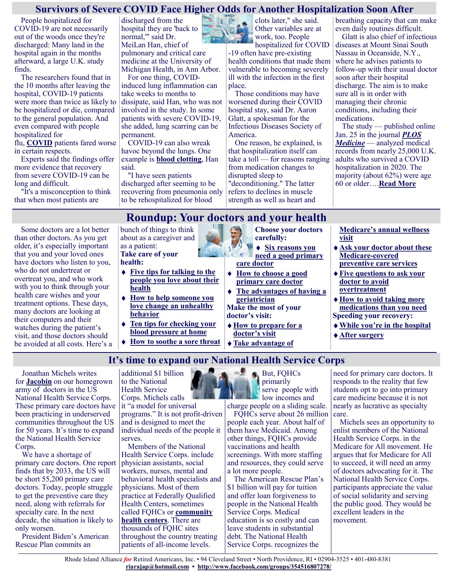#### **Survivors of Severe COVID Face Higher Odds for Another Hospitalization Soon After**

People hospitalized for COVID-19 are not necessarily out of the woods once they're discharged: Many land in the hospital again in the months afterward, a large U.K. study finds.

The researchers found that in the 10 months after leaving the hospital, COVID-19 patients were more than twice as likely to be hospitalized or die, compared to the general population. And even compared with people hospitalized for

flu, **[COVID](https://www.cdc.gov/coronavirus/2019-ncov/long-term-effects/index.html)** patients fared worse in certain respects.

Experts said the findings offer more evidence that recovery from severe COVID-19 can be long and difficult.

"It's a misconception to think that when most patients are

discharged from the hospital they are 'back to normal,'" said Dr. MeiLan Han, chief of pulmonary and critical care medicine at the University of Michigan Health, in Ann Arbor.

For one thing, COVIDinduced lung inflammation can take weeks to months to dissipate, said Han, who was not involved in the study. In some patients with severe COVID-19, she added, lung scarring can be permanent.

COVID-19 can also wreak havoc beyond the lungs. One example is **[blood clotting](https://www.nhlbi.nih.gov/coronavirus/blood#:~:text=How%20does%20COVID%2D19%20affect,damage%2C%20heart%20attack%20and%20stroke.)**, Han said.

"I have seen patients discharged after seeming to be recovering from pneumonia only to be rehospitalized for blood

clots later," she said. Other variables are at work, too. People

hospitalized for COVID -19 often have pre-existing health conditions that made them vulnerable to becoming severely ill with the infection in the first place.

Those conditions may have worsened during their COVID hospital stay, said Dr. Aaron Glatt, a spokesman for the Infectious Diseases Society of America.

One reason, he explained, is that hospitalization itself can take a toll — for reasons ranging from medication changes to disrupted sleep to "deconditioning." The latter refers to declines in muscle strength as well as heart and

breathing capacity that can make even daily routines difficult.

Glatt is also chief of infectious diseases at Mount Sinai South Nassau in Oceanside, N.Y., where he advises patients to follow-up with their usual doctor soon after their hospital discharge. The aim is to make sure all is in order with managing their chronic conditions, including their medications.

The study — published online Jan. 25 in the journal *[PLOS](http://journals.plos.org/plosmedicine/article?id=10.1371/journal.pmed.1003871)  [Medicine](http://journals.plos.org/plosmedicine/article?id=10.1371/journal.pmed.1003871)* — analyzed medical records from nearly 25,000 U.K. adults who survived a COVID hospitalization in 2020. The majority (about 62%) were age 60 or older….**[Read More](https://consumer.healthday.com/1-26-survivors-of-severe-covid-face-higher-odds-for-another-hospitalization-soon-after-2656440539.html)**

# **Roundup: Your doctors and your health**

**It's time to expand our National Health Service Corps**

Some doctors are a lot better than other doctors. As you get older, it's especially important that you and your loved ones have doctors who listen to you, who do not undertreat or overtreat you, and who work with you to think through your health care wishes and your treatment options. These days, many doctors are looking at their computers and their watches during the patient's visit, and those doctors should be avoided at all costs. Here's a bunch of things to think about as a caregiver and as a patient: **Take care of your** 

# **health:**

- **[Five tips for talking to the](https://justcareusa.org/five-tips-for-talking-to-your-loved-ones-about-their-health/)  [people you love about their](https://justcareusa.org/five-tips-for-talking-to-your-loved-ones-about-their-health/)  [health](https://justcareusa.org/five-tips-for-talking-to-your-loved-ones-about-their-health/)**
- **[How to help someone you](https://justcareusa.org/do-you-need-a-geriatrician/)  [love change an unhealthy](https://justcareusa.org/do-you-need-a-geriatrician/)  [behavior](https://justcareusa.org/do-you-need-a-geriatrician/)**
- **[Ten tips for checking your](https://justcareusa.org/ten-tips-for-checking-your-blood-pressure-at-home/)  [blood pressure at home](https://justcareusa.org/ten-tips-for-checking-your-blood-pressure-at-home/)**
- **[How to soothe a sore throat](https://justcareusa.org/how-to-soothe-a-sore-throat/)**
- **Choose your doctors carefully:**
- **[Six reasons you](https://justcareusa.org/six-reasons-you-need-a-primary-care-doctor-in-this-age-of-specialization/)  [need a good primary](https://justcareusa.org/six-reasons-you-need-a-primary-care-doctor-in-this-age-of-specialization/)**
- **[How to choose a good](https://justcareusa.org/four-questions-to-ask-yourself-about-your-primary-care-doctor/)  [primary care doctor](https://justcareusa.org/four-questions-to-ask-yourself-about-your-primary-care-doctor/)**
- **[The advantages of having a](https://justcareusa.org/do-you-need-a-geriatrician/)  [geriatrician](https://justcareusa.org/do-you-need-a-geriatrician/) Make the most of your**
- **[How to prepare for a](https://justcareusa.org/how-to-prepare-for-your-doctors-visit/)  [doctor's visit](https://justcareusa.org/how-to-prepare-for-your-doctors-visit/)**
- **[Take advantage of](https://justcareusa.org/take-advantage-of-medicares-annual-wellness-visit/)**

**[Medicare's annual wellness](https://justcareusa.org/take-advantage-of-medicares-annual-wellness-visit/)  [visit](https://justcareusa.org/take-advantage-of-medicares-annual-wellness-visit/)**

- **[Ask your doctor about these](https://justcareusa.org/get-the-preventive-care-you-need-medicare-pays-for-it/)  [Medicare](https://justcareusa.org/get-the-preventive-care-you-need-medicare-pays-for-it/)-covered [preventive care services](https://justcareusa.org/get-the-preventive-care-you-need-medicare-pays-for-it/)**
- **[Five questions to ask your](https://justcareusa.org/five-questions-to-ask-your-doctor-to-avoid-overtreatment/)  [doctor to avoid](https://justcareusa.org/five-questions-to-ask-your-doctor-to-avoid-overtreatment/)  [overtreatment](https://justcareusa.org/five-questions-to-ask-your-doctor-to-avoid-overtreatment/)**
- **[How to avoid taking more](https://justcareusa.org/how-to-avoid-harm-from-prescription-drug-overload/)  [medications than you need](https://justcareusa.org/how-to-avoid-harm-from-prescription-drug-overload/)**
- **Speeding your recovery: [While you're in the hospital](https://justcareusa.org/dont-let-the-hospital-keep-you-in-bed-if-youre-able-to-walk/)**
- **[After surgery](https://justcareusa.org/six-ways-to-help-speed-your-recovery-after-surgery/)**

#### Jonathan Michels writes for **[Jacobin](https://www.jacobinmag.com/2022/01/united-states-health-care-system-national-health-service-corps)** on our homegrown army of doctors in the US National Health Service Corps. These primary care doctors have been practicing in underserved communities throughout the US for 50 years. It's time to expand the National Health Service

Corps. We have a shortage of primary care doctors. One report finds that by 2033, the US will be short 55,200 primary care doctors. Today, people struggle to get the preventive care they need, along with referrals for specialty care. In the next decade, the situation is likely to only worsen.

President Biden's American Rescue Plan commits an

additional \$1 billion to the National Health Service Corps. Michels calls it "a model for universal programs." It is not profit-driven and is designed to meet the individual needs of the people it serves.

Members of the National Health Service Corps. include physician assistants, social workers, nurses, mental and behavioral health specialists and physicians. Most of them practice at Federally Qualified Health Centers, sometimes called FQHCs or **[community](https://justcareusa.org/congress-must-protect-our-community-health-centers/)  [health centers](https://justcareusa.org/congress-must-protect-our-community-health-centers/)**. There are thousands of FQHC sites throughout the country treating patients of all-income levels.

But, FQHCs **primarily** serve people with **low incomes and** 

charge people on a sliding scale. FQHCs serve about 26 million

people each year. About half of them have Medicaid. Among other things, FQHCs provide vaccinations and health screenings. With more staffing and resources, they could serve a lot more people.

The American Rescue Plan's \$1 billion will pay for tuition and offer loan forgiveness to people in the National Health Service Corps. Medical education is so costly and can leave students in substantial debt. The National Health Service Corps. recognizes the

need for primary care doctors. It responds to the reality that few students opt to go into primary care medicine because it is not nearly as lucrative as specialty care.

Michels sees an opportunity to enlist members of the National Health Service Corps. in the Medicare for All movement. He argues that for Medicare for All to succeed, it will need an army of doctors advocating for it. The National Health Service Corps. participants appreciate the value of social solidarity and serving the public good. They would be excellent leaders in the movement.

 $\frac{1}{2}$ TREE PART **[care doctor](https://justcareusa.org/six-reasons-you-need-a-primary-care-doctor-in-this-age-of-specialization/)**

**doctor's visit:**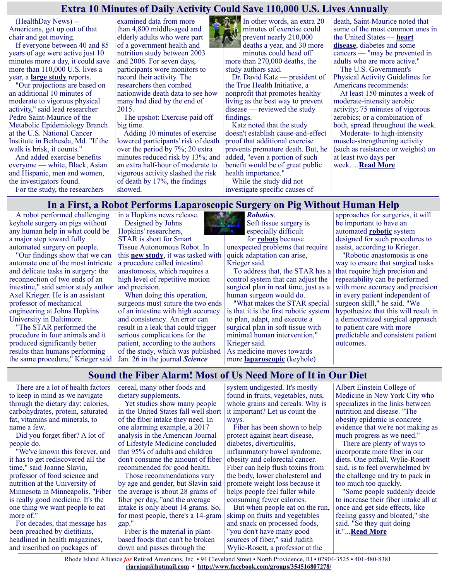#### **Extra 10 Minutes of Daily Activity Could Save 110,000 U.S. Lives Annually**

(HealthDay News) -- Americans, get up out of that chair and get moving.

If everyone between 40 and 85 years of age were active just 10 minutes more a day, it could save more than 110,000 U.S. lives a year, a **[large study](https://jamanetwork.com/journals/jamainternalmedicine/fullarticle/2788473)** reports.

"Our projections are based on an additional 10 minutes of moderate to vigorous physical activity," said lead researcher Pedro Saint-Maurice of the Metabolic Epidemiology Branch at the U.S. National Cancer Institute in Bethesda, Md. "If the walk is brisk, it counts."

And added exercise benefits everyone — white, Black, Asian and Hispanic, men and women, the investigators found.

For the study, the researchers

examined data from more than 4,800 middle-aged and elderly adults who were part of a government health and nutrition study between 2003 and 2006. For seven days, participants wore monitors to record their activity. The researchers then combed nationwide death data to see how many had died by the end of 2015.

The upshot: Exercise paid off big time.

Adding 10 minutes of exercise lowered participants' risk of death over the period by 7%; 20 extra minutes reduced risk by 13%; and an extra half-hour of moderate to vigorous activity slashed the risk of death by 17%, the findings showed.



In other words, an extra 20 minutes of exercise could prevent nearly 210,000 deaths a year, and 30 more minutes could head off more than 270,000 deaths, the study authors said.

Dr. David Katz — president of the True Health Initiative, a nonprofit that promotes healthy living as the best way to prevent disease — reviewed the study findings.

Katz noted that the study doesn't establish cause-and-effect proof that additional exercise prevents premature death. But, he added, "even a portion of such benefit would be of great public health importance."

While the study did not investigate specific causes of death, Saint-Maurice noted that some of the most common ones in the United States — **[heart](https://www.nhlbi.nih.gov/health-topics/physical-activity-and-your-heart)  [disease](https://www.nhlbi.nih.gov/health-topics/physical-activity-and-your-heart)**, diabetes and some cancers — "may be prevented in adults who are more active."

The U.S. Government's Physical Activity Guidelines for Americans recommends:

At least 150 minutes a week of moderate-intensity aerobic activity; 75 minutes of vigorous aerobics; or a combination of both, spread throughout the week.

Moderate- to high-intensity muscle-strengthening activity (such as resistance or weights) on at least two days per week….**[Read More](https://consumer.healthday.com/exercise-and-health-2656445291.html)**

**In a First, a Robot Performs Laparoscopic Surgery on Pig Without Human Help**

A robot performed challenging keyhole surgery on pigs without any human help in what could be a major step toward fully automated surgery on people.

"Our findings show that we can automate one of the most intricate and delicate tasks in surgery: the reconnection of two ends of an intestine," said senior study author Axel Krieger. He is an assistant professor of mechanical engineering at Johns Hopkins University in Baltimore.

"The STAR performed the procedure in four animals and it produced significantly better results than humans performing the same procedure," Krieger said in a Hopkins news release. Designed by Johns Hopkins' researchers, STAR is short for Smart Tissue Autonomous Robot. In

this **[new study](https://www.science.org/doi/10.1126/scirobotics.abj2908)**, it was tasked with a procedure called intestinal anastomosis, which requires a high level of repetitive motion and precision.

When doing this operation, surgeons must suture the two ends of an intestine with high accuracy and consistency. An error can result in a leak that could trigger serious complications for the patient, according to the authors of the study, which was published Jan. 26 in the journal *[Science](https://www.science.org/doi/10.1126/scirobotics.abj2908)* 

*[Robotics](https://www.science.org/doi/10.1126/scirobotics.abj2908)*. Soft tissue surgery is especially difficult for **[robots](https://www.wsj.com/articles/autonomous-robots-are-coming-to-the-operating-room-11599786000)** because unexpected problems that require

quick adaptation can arise, Krieger said.

To address that, the STAR has a control system that can adjust the surgical plan in real time, just as a human surgeon would do.

"What makes the STAR special is that it is the first robotic system to plan, adapt, and execute a surgical plan in soft tissue with minimal human intervention," Krieger said. As medicine moves towards

more **[laparoscopic](https://www.webmd.com/digestive-disorders/laparoscopic-surgery)** (keyhole)

approaches for surgeries, it will be important to have an automated **[robotic](https://medlineplus.gov/ency/article/007339.htm)** system designed for such procedures to assist, according to Krieger.

"Robotic anastomosis is one way to ensure that surgical tasks that require high precision and repeatability can be performed with more accuracy and precision in every patient independent of surgeon skill," he said. "We hypothesize that this will result in a democratized surgical approach to patient care with more predictable and consistent patient outcomes.

## **Sound the Fiber Alarm! Most of Us Need More of It in Our Diet**

There are a lot of health factors to keep in mind as we navigate through the dietary day: calories, carbohydrates, protein, saturated fat, vitamins and minerals, to name a few.

Did you forget fiber? A lot of people do.

"We've known this forever, and it has to get rediscovered all the time," said Joanne Slavin, professor of food science and nutrition at the University of Minnesota in Minneapolis. "Fiber is really good medicine. It's the one thing we want people to eat more of."

For decades, that message has been preached by dietitians, headlined in health magazines, and inscribed on packages of

cereal, many other foods and dietary supplements.

Yet studies show many people in the United States fall well short of the fiber intake they need. In one alarming example, a 2017 analysis in the American Journal of Lifestyle Medicine concluded that 95% of adults and children don't consume the amount of fiber recommended for good health.

Those recommendations vary by age and gender, but Slavin said the average is about 28 grams of fiber per day, "and the average intake is only about 14 grams. So, for most people, there's a 14-gram gap."

Fiber is the material in plantbased foods that can't be broken down and passes through the

system undigested. It's mostly found in fruits, vegetables, nuts, whole grains and cereals. Why is it important? Let us count the ways.

Fiber has been shown to help protect against heart disease, diabetes, diverticulitis, inflammatory bowel syndrome, obesity and colorectal cancer. Fiber can help flush toxins from the body, lower cholesterol and promote weight loss because it helps people feel fuller while consuming fewer calories.

But when people eat on the run, skimp on fruits and vegetables and snack on processed foods, "you don't have many good sources of fiber," said Judith Wylie-Rosett, a professor at the

Albert Einstein College of Medicine in New York City who specializes in the links between nutrition and disease. "The obesity epidemic is concrete evidence that we're not making as much progress as we need."

There are plenty of ways to incorporate more fiber in our diets. One pitfall, Wylie-Rosett said, is to feel overwhelmed by the challenge and try to pack in too much too quickly.

"Some people suddenly decide to increase their fiber intake all at once and get side effects, like feeling gassy and bloated," she said. "So they quit doing it."...**[Read More](https://consumer.healthday.com/aha-news-sound-the-fiber-alarm-most-of-us-need-more-of-it-in-our-diet-2656490046.html)**